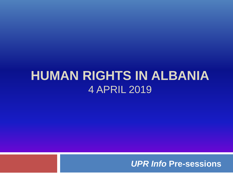# **HUMAN RIGHTS IN ALBANIA** 4 APRIL 2019

*UPR Info* **Pre-sessions**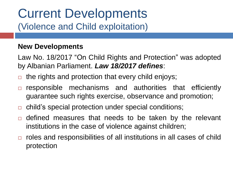### Current Developments (Violence and Child exploitation)

### **New Developments**

Law No. 18/2017 "On Child Rights and Protection" was adopted by Albanian Parliament. *Law 18/2017 defines*:

- $\Box$  the rights and protection that every child enjoys;
- **□** responsible mechanisms and authorities that efficiently guarantee such rights exercise, observance and promotion;
- □ child's special protection under special conditions;
- $\Box$  defined measures that needs to be taken by the relevant institutions in the case of violence against children;
- □ roles and responsibilities of all institutions in all cases of child protection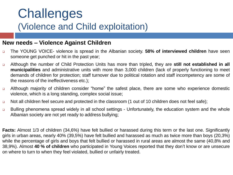### **Challenges** (Violence and Child exploitation)

#### **New needs – Violence Against Children**

- ❑ The YOUNG VOICE- violence is spread in the Albanian society. **58% of interviewed children** have seen someone get punched or hit in the past year;
- ❑ Although the number of Child Protection Units has more than tripled, they are **still not established in all municipalities** and administrative units with more than 3,000 children (lack of properly functioning to meet demands of children for protection; staff turnover due to political rotation and staff incompetency are some of the reasons of the ineffectiveness etc.);
- ❑ Although majority of children consider "home" the safest place, there are some who experience domestic violence, which is a long standing, complex social issue;
- ❑ Not all children feel secure and protected in the classroom (1 out of 10 children does not feel safe);
- ❑ Bulling phenomena spread widely in all school settings Unfortunately, the education system and the whole Albanian society are not yet ready to address bullying;

**Facts:** Almost 1/3 of children (34,6%) have felt bullied or harassed during this term or the last one. Significantly girls in urban areas, nearly 40% (39,5%) have felt bullied and harassed as much as twice more than boys (20,3%) while the percentage of girls and boys that felt bullied or harassed in rural areas are almost the same (40,8% and 38,9%). Almost **40 % of children** who participated in Young Voices reported that they don't know or are unsecure on where to turn to when they feel violated, bullied or unfairly treated.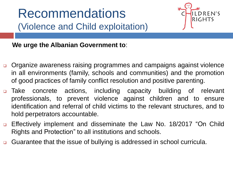# Recommendations (Violence and Child exploitation)



### **We urge the Albanian Government to**:

- ❑ Organize awareness raising programmes and campaigns against violence in all environments (family, schools and communities) and the promotion of good practices of family conflict resolution and positive parenting.
- ❑ Take concrete actions, including capacity building of relevant professionals, to prevent violence against children and to ensure identification and referral of child victims to the relevant structures, and to hold perpetrators accountable.
- ❑ Effectively implement and disseminate the Law No. 18/2017 "On Child Rights and Protection" to all institutions and schools.
- ❑ Guarantee that the issue of bullying is addressed in school curricula.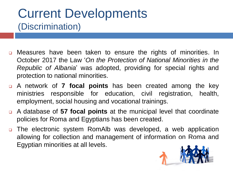# Current Developments (Discrimination)

- ❑ Measures have been taken to ensure the rights of minorities. In October 2017 the Law '*On the Protection of National Minorities in the Republic of Albania*' was adopted, providing for special rights and protection to national minorities.
- ❑ A network of **7 focal points** has been created among the key ministries responsible for education, civil registration, health, employment, social housing and vocational trainings.
- ❑ A database of **57 focal points** at the municipal level that coordinate policies for Roma and Egyptians has been created.
- ❑ The electronic system RomAlb was developed, a web application allowing for collection and management of information on Roma and Egyptian minorities at all levels.

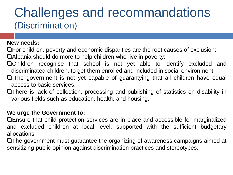# Challenges and recommandations (Discrimination)

#### **New needs:**

❑For children, poverty and economic disparities are the root causes of exclusion; ❑Albania should do more to help children who live in poverty;

- ❑Children recognise that school is not yet able to identify excluded and discriminated children, to get them enrolled and included in social environment;
- ❑ The government is not yet capable of guarantying that all children have equal access to basic services.
- ❑There is lack of collection, processing and publishing of statistics on disability in various fields such as education, health, and housing.

#### **We urge the Government to:**

❑Ensure that child protection services are in place and accessible for marginalized and excluded children at local level, supported with the sufficient budgetary allocations.

❑The government must guarantee the organizing of awareness campaigns aimed at sensitizing public opinion against discrimination practices and stereotypes.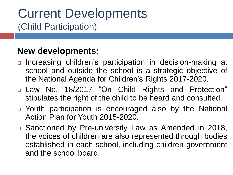# Current Developments (Child Participation)

### **New developments:**

- ❑ Increasing children's participation in decision-making at school and outside the school is a strategic objective of the National Agenda for Children's Rights 2017-2020.
- ❑ Law No. 18/2017 "On Child Rights and Protection" stipulates the right of the child to be heard and consulted.
- ❑ Youth participation is encouraged also by the National Action Plan for Youth 2015-2020.
- ❑ Sanctioned by Pre-university Law as Amended in 2018, the voices of children are also represented through bodies established in each school, including children government and the school board.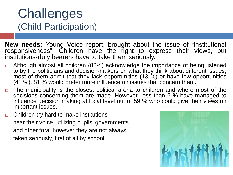# **Challenges** (Child Participation)

**New needs:** Young Voice report, brought about the issue of "institutional responsiveness". Children have the right to express their views, but institutions-duty bearers have to take them seriously.

- □ Although almost all children (88%) acknowledge the importance of being listened to by the politicians and decision-makers on what they think about different issues, most of them admit that they lack opportunities (13 %) or have few opportunities (48 %). 81 % would prefer more influence on issues that concern them.
- $\Box$  The municipality is the closest political arena to children and where most of the decisions concerning them are made. However, less than 6 % have managed to influence decision making at local level out of 59 % who could give their views on important issues.
- $\Box$  Children try hard to make institutions hear their voice, utilizing pupils' governments and other fora, however they are not always taken seriously, first of all by school.

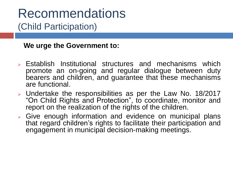### Recommendations (Child Participation)

### **We urge the Government to:**

- ➢ Establish Institutional structures and mechanisms which promote an on-going and regular dialogue between duty bearers and children, and guarantee that these mechanisms are functional.
- ➢ Undertake the responsibilities as per the Law No. 18/2017 "On Child Rights and Protection", to coordinate, monitor and report on the realization of the rights of the children.
- ➢ Give enough information and evidence on municipal plans that regard children's rights to facilitate their participation and engagement in municipal decision-making meetings.